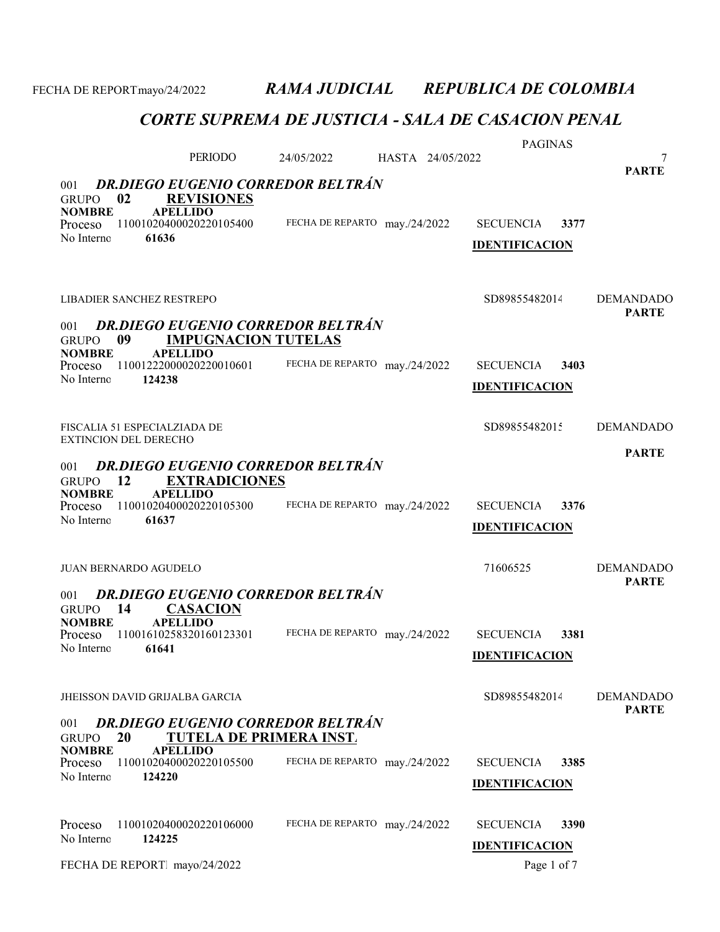CORTE SUPREMA DE JUSTICIA - SALA DE CASACION PENAL PAGINAS PERIODO 24/05/2022 7 HASTA 24/05/2022 GRUPO 02 REVISIONES<br>NOMBRE APELLIDO **APELLIDO** PARTE 001 DR.DIEGO EUGENIO CORREDOR BELTRÁN Proceso 11001020400020220105400 FECHA DE REPARTO may./24/2022 SECUENCIA 3377 61636 FECHA DE REPARTO may./24/2022 No Interno: IDENTIFICACION LIBADIER SANCHEZ RESTREPO SD8985548201425 DEMANDADO GRUPO 09 IMPUGNACION TUTELAS NOMBRE APELLIDO PARTE 001 DR.DIEGO EUGENIO CORREDOR BELTRÁN Proceso 11001222000020220010601 FECHA DE REPARTO may./24/2022 SECUENCIA 3403 124238 FECHA DE REPARTO may./24/2022 No Interno: IDENTIFICACION FISCALIA 51 ESPECIALZIADA DE SOB9855482015 DEMANDADO EXTINCION DEL DERECHO GRUPO 12 EXTRADICIONES<br>NOMBRE APELLIDO **APELLIDO** PARTE 001 DR.DIEGO EUGENIO CORREDOR BELTRÁN Proceso 11001020400020220105300 FECHA DE REPARTO may./24/2022 SECUENCIA 3376 61637 FECHA DE REPARTO may./24/2022 No Interno: IDENTIFICACION JUAN BERNARDO AGUDELO 71606525 DEMANDADO GRUPO 14 CASACION<br>NOMBRE APELLIDO **APELLIDO** PARTE 001 DR.DIEGO EUGENIO CORREDOR BELTRÁN Proceso 11001610258320160123301 FECHA DE REPARTO may./24/2022 SECUENCIA 3381 61641 FECHA DE REPARTO may./24/2022 No Interno: IDENTIFICACION JHEISSON DAVID GRIJALBA GARCIA SD8985548201469 DEMANDADO GRUPO 20 TUTELA DE PRIMERA INST.<br>NOMBRE APELLIDO **APELLIDO** PARTE 001 DR.DIEGO EUGENIO CORREDOR BELTRÁN Proceso 11001020400020220105500 FECHA DE REPARTO may./24/2022 SECUENCIA 3385 124220 FECHA DE REPARTO may./24/2022 No Interno: IDENTIFICACION Proceso 11001020400020220106000 FECHA DE REPARTO may./24/2022 SECUENCIA 3390 124225 No Interno: Proceso 11001020400020220106000 **IDENTIFICACION** FECHA DE REPORT. mayo/24/2022 Page 1 of 7

FECHA DE REPORTmayo/24/2022 RAMA JUDICIAL REPUBLICA DE COLOMBIA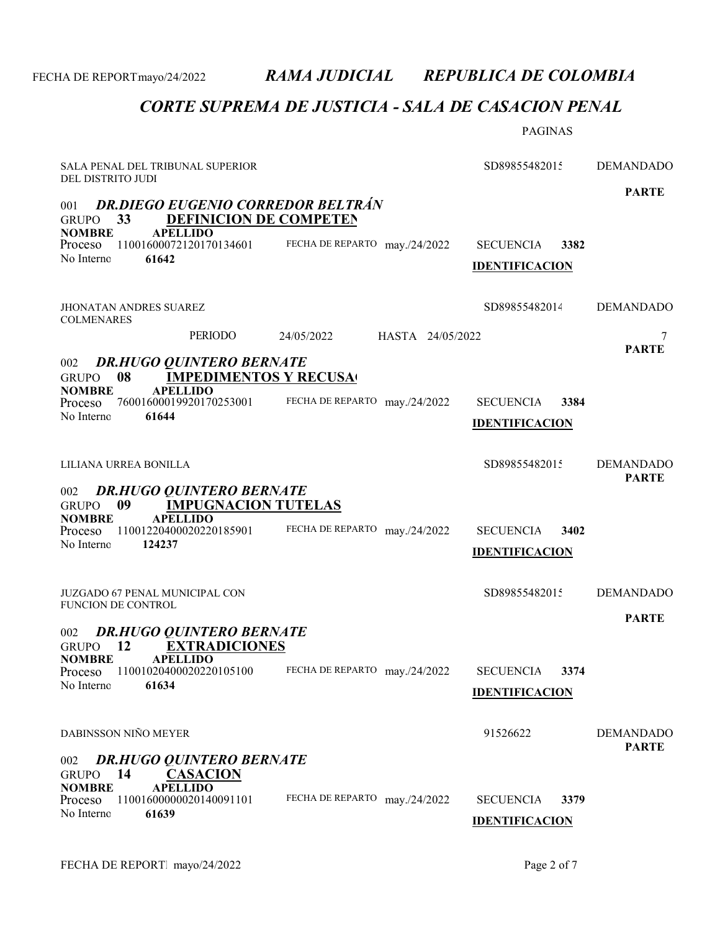|                                                                                                                                  |                                | <b>PAGINAS</b>                                    |                                  |
|----------------------------------------------------------------------------------------------------------------------------------|--------------------------------|---------------------------------------------------|----------------------------------|
| SALA PENAL DEL TRIBUNAL SUPERIOR<br>DEL DISTRITO JUDI                                                                            |                                | SD89855482015                                     | <b>DEMANDADO</b>                 |
| <b>DR.DIEGO EUGENIO CORREDOR BELTRÁN</b><br>001<br><b>DEFINICION DE COMPETEN</b><br>33<br><b>GRUPO</b>                           |                                |                                                   | <b>PARTE</b>                     |
| <b>APELLIDO</b><br><b>NOMBRE</b><br>Proceso<br>11001600072120170134601<br>61642<br>No Interno                                    | FECHA DE REPARTO may./24/2022  | <b>SECUENCIA</b><br>3382<br><b>IDENTIFICACION</b> |                                  |
| JHONATAN ANDRES SUAREZ<br><b>COLMENARES</b>                                                                                      |                                | SD89855482014                                     | <b>DEMANDADO</b>                 |
| PERIODO                                                                                                                          | 24/05/2022<br>HASTA 24/05/2022 |                                                   | 7<br><b>PARTE</b>                |
| <b>DR.HUGO QUINTERO BERNATE</b><br>002<br>08<br><b>IMPEDIMENTOS Y RECUSA</b><br><b>GRUPO</b><br><b>APELLIDO</b><br><b>NOMBRE</b> |                                |                                                   |                                  |
| 76001600019920170253001<br>Proceso<br>No Interno<br>61644                                                                        | FECHA DE REPARTO may./24/2022  | <b>SECUENCIA</b><br>3384<br><b>IDENTIFICACION</b> |                                  |
| LILIANA URREA BONILLA                                                                                                            |                                | SD89855482015                                     | <b>DEMANDADO</b><br><b>PARTE</b> |
| <b>DR.HUGO QUINTERO BERNATE</b><br>002<br><b>IMPUGNACION TUTELAS</b><br>09<br><b>GRUPO</b>                                       |                                |                                                   |                                  |
| <b>APELLIDO</b><br><b>NOMBRE</b><br>11001220400020220185901<br>Proceso<br>124237<br>No Interno                                   | FECHA DE REPARTO may./24/2022  | <b>SECUENCIA</b><br>3402<br><b>IDENTIFICACION</b> |                                  |
| <b>JUZGADO 67 PENAL MUNICIPAL CON</b><br><b>FUNCION DE CONTROL</b>                                                               |                                | SD89855482015                                     | <b>DEMANDADO</b>                 |
| <b>DR.HUGO QUINTERO BERNATE</b><br>002<br><b>EXTRADICIONES</b><br><b>12</b><br><b>GRUPO</b>                                      |                                |                                                   | <b>PARTE</b>                     |
| <b>NOMBRE</b><br><b>APELLIDO</b><br>11001020400020220105100<br>Proceso<br>61634<br>No Interno                                    | FECHA DE REPARTO may./24/2022  | 3374<br><b>SECUENCIA</b><br><b>IDENTIFICACION</b> |                                  |
| DABINSSON NIÑO MEYER                                                                                                             |                                | 91526622                                          | <b>DEMANDADO</b><br><b>PARTE</b> |
| <b>DR.HUGO QUINTERO BERNATE</b><br>002<br>14<br><b>GRUPO</b><br><u>CASACION</u><br><b>NOMBRE</b><br><b>APELLIDO</b>              |                                |                                                   |                                  |
| 11001600000020140091101<br>Proceso<br>No Interno<br>61639                                                                        | FECHA DE REPARTO may./24/2022  | <b>SECUENCIA</b><br>3379<br><b>IDENTIFICACION</b> |                                  |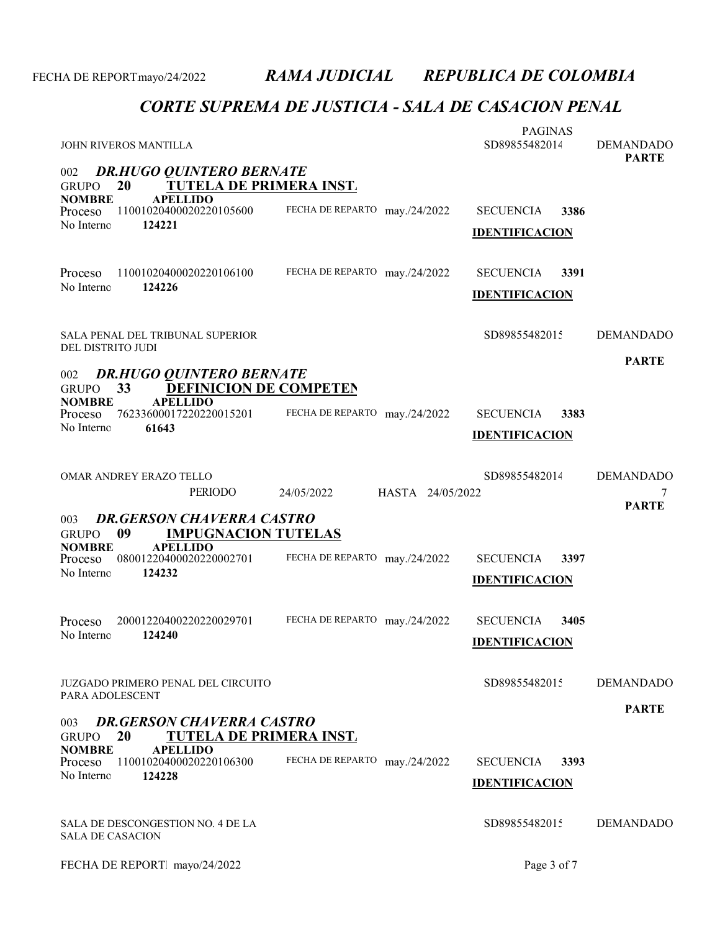| JOHN RIVEROS MANTILLA                                                                                                                               |                                | <b>PAGINAS</b><br>SD89855482014                   | <b>DEMANDADO</b><br><b>PARTE</b>      |  |  |
|-----------------------------------------------------------------------------------------------------------------------------------------------------|--------------------------------|---------------------------------------------------|---------------------------------------|--|--|
| <b>DR.HUGO QUINTERO BERNATE</b><br>002<br>TUTELA DE PRIMERA INST.<br>20<br><b>GRUPO</b>                                                             |                                |                                                   |                                       |  |  |
| <b>NOMBRE</b><br><b>APELLIDO</b><br>11001020400020220105600<br><b>Proceso</b><br>124221<br>No Interno                                               | FECHA DE REPARTO may./24/2022  | 3386<br><b>SECUENCIA</b><br><b>IDENTIFICACION</b> |                                       |  |  |
| Proceso<br>11001020400020220106100<br>No Interno<br>124226                                                                                          | FECHA DE REPARTO may./24/2022  | <b>SECUENCIA</b><br>3391<br><b>IDENTIFICACION</b> |                                       |  |  |
| SALA PENAL DEL TRIBUNAL SUPERIOR<br>DEL DISTRITO JUDI                                                                                               |                                | SD89855482015                                     | <b>DEMANDADO</b>                      |  |  |
| <b>DR.HUGO QUINTERO BERNATE</b><br>002<br><b>DEFINICION DE COMPETEN</b><br>33<br><b>GRUPO</b>                                                       |                                |                                                   | <b>PARTE</b>                          |  |  |
| <b>NOMBRE</b><br><b>APELLIDO</b><br>76233600017220220015201<br>Proceso<br>No Interno<br>61643                                                       | FECHA DE REPARTO may./24/2022  | <b>SECUENCIA</b><br>3383<br><b>IDENTIFICACION</b> |                                       |  |  |
| OMAR ANDREY ERAZO TELLO<br><b>PERIODO</b>                                                                                                           | 24/05/2022<br>HASTA 24/05/2022 | SD89855482014                                     | <b>DEMANDADO</b><br>7<br><b>PARTE</b> |  |  |
| <b>DR.GERSON CHAVERRA CASTRO</b><br>003<br><b>IMPUGNACION TUTELAS</b><br>09<br><b>GRUPO</b>                                                         |                                |                                                   |                                       |  |  |
| <b>APELLIDO</b><br><b>NOMBRE</b><br>08001220400020220002701<br>Proceso<br>No Interno<br>124232                                                      | FECHA DE REPARTO may./24/2022  | <b>SECUENCIA</b><br>3397<br><b>IDENTIFICACION</b> |                                       |  |  |
| 20001220400220220029701<br>Proceso<br>124240<br>No Interno                                                                                          | FECHA DE REPARTO may./24/2022  | <b>SECUENCIA</b><br>3405<br><b>IDENTIFICACION</b> |                                       |  |  |
| JUZGADO PRIMERO PENAL DEL CIRCUITO<br>PARA ADOLESCENT                                                                                               |                                | SD89855482015                                     | <b>DEMANDADO</b>                      |  |  |
| <b>PARTE</b><br><b>DR.GERSON CHAVERRA CASTRO</b><br>003<br><b>TUTELA DE PRIMERA INST.</b><br>20<br><b>GRUPO</b><br><b>NOMBRE</b><br><b>APELLIDO</b> |                                |                                                   |                                       |  |  |
| Proceso<br>11001020400020220106300<br>No Interno<br>124228                                                                                          | FECHA DE REPARTO may./24/2022  | <b>SECUENCIA</b><br>3393<br><b>IDENTIFICACION</b> |                                       |  |  |
| SALA DE DESCONGESTION NO. 4 DE LA<br><b>SALA DE CASACION</b>                                                                                        |                                | SD89855482015                                     | <b>DEMANDADO</b>                      |  |  |
| FECHA DE REPORT mayo/24/2022                                                                                                                        |                                | Page 3 of 7                                       |                                       |  |  |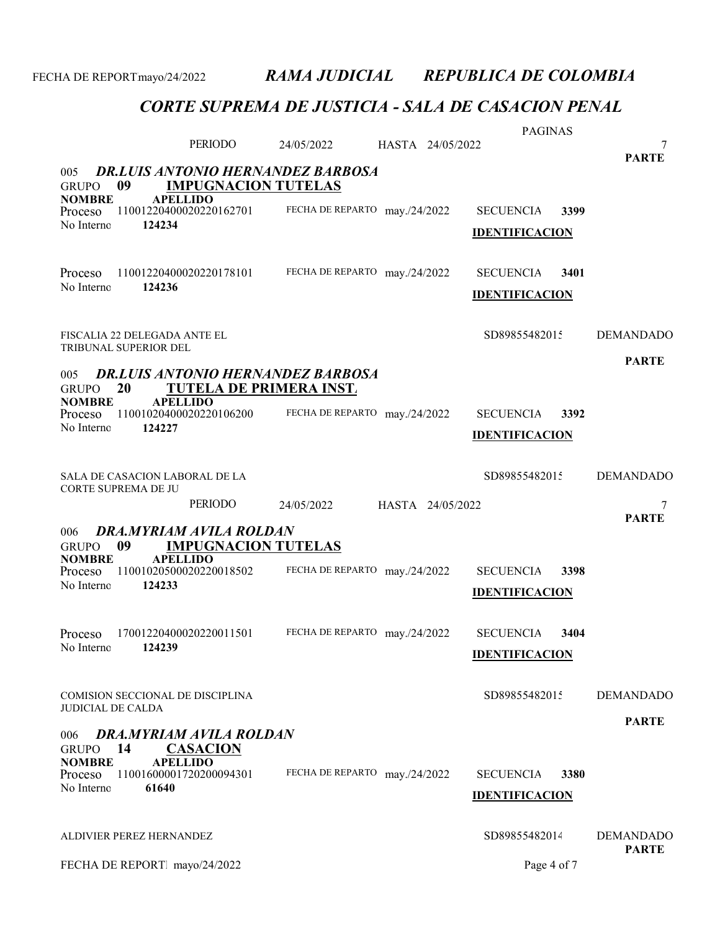|                                                                                                     | PERIODO                                       |                               |                  | HASTA 24/05/2022 | <b>PAGINAS</b>        |      | 7                                |
|-----------------------------------------------------------------------------------------------------|-----------------------------------------------|-------------------------------|------------------|------------------|-----------------------|------|----------------------------------|
|                                                                                                     |                                               | 24/05/2022                    |                  |                  |                       |      | <b>PARTE</b>                     |
| <b>DR.LUIS ANTONIO HERNANDEZ BARBOSA</b><br>005<br><b>IMPUGNACION TUTELAS</b><br>09<br><b>GRUPO</b> |                                               |                               |                  |                  |                       |      |                                  |
| <b>NOMBRE</b><br>Proceso                                                                            | <b>APELLIDO</b><br>11001220400020220162701    | FECHA DE REPARTO may./24/2022 |                  |                  | <b>SECUENCIA</b>      | 3399 |                                  |
| No Interno<br>124234                                                                                |                                               |                               |                  |                  | <b>IDENTIFICACION</b> |      |                                  |
|                                                                                                     |                                               |                               |                  |                  |                       |      |                                  |
| Proceso                                                                                             | 11001220400020220178101                       | FECHA DE REPARTO may./24/2022 |                  |                  | <b>SECUENCIA</b>      | 3401 |                                  |
| No Interno<br>124236                                                                                |                                               |                               |                  |                  | <b>IDENTIFICACION</b> |      |                                  |
|                                                                                                     |                                               |                               |                  |                  |                       |      |                                  |
| FISCALIA 22 DELEGADA ANTE EL<br>TRIBUNAL SUPERIOR DEL                                               |                                               |                               |                  |                  | SD89855482015         |      | <b>DEMANDADO</b>                 |
| 005                                                                                                 | <b>DR.LUIS ANTONIO HERNANDEZ BARBOSA</b>      |                               |                  |                  |                       |      | <b>PARTE</b>                     |
| 20<br><b>GRUPO</b><br><b>NOMBRE</b>                                                                 | TUTELA DE PRIMERA INST.<br><b>APELLIDO</b>    |                               |                  |                  |                       |      |                                  |
| Proceso<br>No Interno<br>124227                                                                     | 11001020400020220106200                       | FECHA DE REPARTO may./24/2022 |                  |                  | <b>SECUENCIA</b>      | 3392 |                                  |
|                                                                                                     |                                               |                               |                  |                  | <b>IDENTIFICACION</b> |      |                                  |
| SALA DE CASACION LABORAL DE LA                                                                      |                                               |                               |                  |                  | SD89855482015         |      | <b>DEMANDADO</b>                 |
|                                                                                                     |                                               |                               |                  |                  |                       |      |                                  |
| CORTE SUPREMA DE JU                                                                                 |                                               |                               |                  |                  |                       |      |                                  |
|                                                                                                     | PERIODO                                       | 24/05/2022                    | HASTA 24/05/2022 |                  |                       |      | 7<br><b>PARTE</b>                |
| 006                                                                                                 | DRA, MYRIAM AVILA ROLDAN                      |                               |                  |                  |                       |      |                                  |
| 09<br><b>GRUPO</b><br><b>NOMBRE</b>                                                                 | <b>IMPUGNACION TUTELAS</b><br><b>APELLIDO</b> |                               |                  |                  |                       |      |                                  |
| Proceso<br>No Interno<br>124233                                                                     | 11001020500020220018502                       | FECHA DE REPARTO may./24/2022 |                  |                  | <b>SECUENCIA</b>      | 3398 |                                  |
|                                                                                                     |                                               |                               |                  |                  | <b>IDENTIFICACION</b> |      |                                  |
| Proceso                                                                                             | 17001220400020220011501                       | FECHA DE REPARTO may./24/2022 |                  |                  | <b>SECUENCIA</b>      | 3404 |                                  |
| 124239<br>No Interno                                                                                |                                               |                               |                  |                  | <b>IDENTIFICACION</b> |      |                                  |
|                                                                                                     |                                               |                               |                  |                  |                       |      |                                  |
| COMISION SECCIONAL DE DISCIPLINA<br><b>JUDICIAL DE CALDA</b>                                        |                                               |                               |                  |                  | SD89855482015         |      | <b>DEMANDADO</b>                 |
|                                                                                                     |                                               |                               |                  |                  |                       |      | <b>PARTE</b>                     |
| 006<br>14<br><b>GRUPO</b>                                                                           | DRA.MYRIAM AVILA ROLDAN<br><b>CASACION</b>    |                               |                  |                  |                       |      |                                  |
| <b>NOMBRE</b><br>Proceso                                                                            | <b>APELLIDO</b><br>11001600001720200094301    | FECHA DE REPARTO may./24/2022 |                  |                  | <b>SECUENCIA</b>      | 3380 |                                  |
| No Interno<br>61640                                                                                 |                                               |                               |                  |                  | <b>IDENTIFICACION</b> |      |                                  |
|                                                                                                     |                                               |                               |                  |                  |                       |      |                                  |
| ALDIVIER PEREZ HERNANDEZ                                                                            |                                               |                               |                  |                  | SD89855482014         |      | <b>DEMANDADO</b><br><b>PARTE</b> |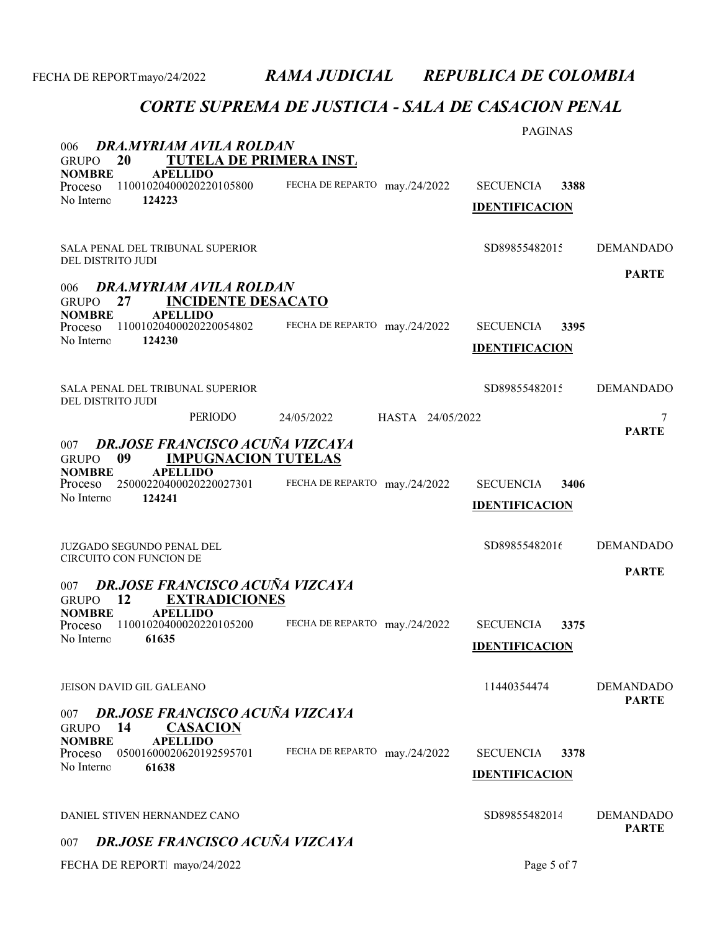### CORTE SUPREMA DE JUSTICIA - SALA DE CASACION PENAL

|                                                                                        |                                | <b>PAGINAS</b>           |                  |
|----------------------------------------------------------------------------------------|--------------------------------|--------------------------|------------------|
| DRA.MYRIAM AVILA ROLDAN<br>006<br>20<br><b>TUTELA DE PRIMERA INST.</b><br><b>GRUPO</b> |                                |                          |                  |
| <b>APELLIDO</b><br><b>NOMBRE</b><br>11001020400020220105800<br>Proceso                 | FECHA DE REPARTO may./24/2022  | <b>SECUENCIA</b><br>3388 |                  |
| No Interno<br>124223                                                                   |                                | <b>IDENTIFICACION</b>    |                  |
|                                                                                        |                                |                          |                  |
| <b>SALA PENAL DEL TRIBUNAL SUPERIOR</b>                                                |                                | SD89855482015            | <b>DEMANDADO</b> |
| DEL DISTRITO JUDI                                                                      |                                |                          | <b>PARTE</b>     |
| DRA.MYRIAM AVILA ROLDAN<br>006<br>27<br><b>INCIDENTE DESACATO</b><br><b>GRUPO</b>      |                                |                          |                  |
| <b>NOMBRE</b><br><b>APELLIDO</b><br>11001020400020220054802<br>Proceso                 | FECHA DE REPARTO may./24/2022  | <b>SECUENCIA</b><br>3395 |                  |
| No Interno<br>124230                                                                   |                                | <b>IDENTIFICACION</b>    |                  |
|                                                                                        |                                |                          |                  |
| <b>SALA PENAL DEL TRIBUNAL SUPERIOR</b><br>DEL DISTRITO JUDI                           |                                | SD89855482015            | <b>DEMANDADO</b> |
| <b>PERIODO</b>                                                                         | HASTA 24/05/2022<br>24/05/2022 |                          | 7                |
| DR.JOSE FRANCISCO ACUÑA VIZCAYA<br>007                                                 |                                |                          | <b>PARTE</b>     |
| 09<br><b>IMPUGNACION TUTELAS</b><br><b>GRUPO</b><br><b>NOMBRE</b><br><b>APELLIDO</b>   |                                |                          |                  |
| 25000220400020220027301<br>Proceso                                                     | FECHA DE REPARTO may./24/2022  | <b>SECUENCIA</b><br>3406 |                  |
| No Interno<br>124241                                                                   |                                | <b>IDENTIFICACION</b>    |                  |
|                                                                                        |                                |                          |                  |
| JUZGADO SEGUNDO PENAL DEL<br>CIRCUITO CON FUNCION DE                                   |                                | SD89855482016            | <b>DEMANDADO</b> |
| DR.JOSE FRANCISCO ACUÑA VIZCAYA<br>007                                                 |                                |                          | <b>PARTE</b>     |
| 12<br><b>EXTRADICIONES</b><br><b>GRUPO</b>                                             |                                |                          |                  |
| <b>NOMBRE</b><br><b>APELLIDO</b><br>11001020400020220105200<br>Proceso                 | FECHA DE REPARTO may./24/2022  | <b>SECUENCIA</b><br>3375 |                  |
| No Interno<br>61635                                                                    |                                | <b>IDENTIFICACION</b>    |                  |
|                                                                                        |                                |                          |                  |
| <b>JEISON DAVID GIL GALEANO</b>                                                        |                                | 11440354474              | <b>DEMANDADO</b> |
| <b>DR.JOSE FRANCISCO ACUÑA VIZCAYA</b><br>007<br>14<br><b>CASACION</b><br><b>GRUPO</b> |                                |                          | <b>PARTE</b>     |
| <b>NOMBRE</b><br><b>APELLIDO</b><br>05001600020620192595701<br>Proceso                 | FECHA DE REPARTO may./24/2022  | <b>SECUENCIA</b><br>3378 |                  |
| No Interno<br>61638                                                                    |                                | <b>IDENTIFICACION</b>    |                  |
|                                                                                        |                                |                          |                  |
| DANIEL STIVEN HERNANDEZ CANO                                                           |                                | SD89855482014            | <b>DEMANDADO</b> |
| <b>DR.JOSE FRANCISCO ACUÑA VIZCAYA</b><br>007                                          |                                |                          | <b>PARTE</b>     |

FECHA DE REPORT. mayo/24/2022 Page 5 of 7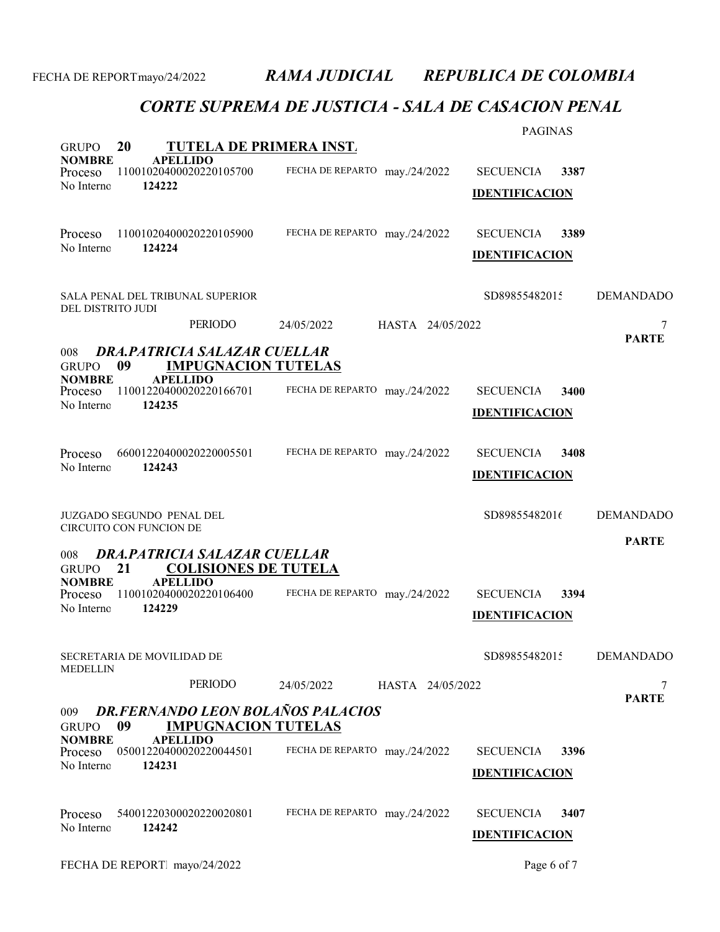|                               |                                                                          |                                | <b>PAGINAS</b>           |                   |
|-------------------------------|--------------------------------------------------------------------------|--------------------------------|--------------------------|-------------------|
| <b>GRUPO</b>                  | TUTELA DE PRIMERA INST.<br>20                                            |                                |                          |                   |
| <b>NOMBRE</b><br>Proceso      | <b>APELLIDO</b><br>11001020400020220105700                               | FECHA DE REPARTO may./24/2022  | <b>SECUENCIA</b><br>3387 |                   |
| No Interno                    | 124222                                                                   |                                | <b>IDENTIFICACION</b>    |                   |
|                               |                                                                          |                                |                          |                   |
| Proceso                       | 11001020400020220105900                                                  | FECHA DE REPARTO may./24/2022  | <b>SECUENCIA</b><br>3389 |                   |
| No Interno                    | 124224                                                                   |                                | <b>IDENTIFICACION</b>    |                   |
|                               |                                                                          |                                |                          |                   |
| DEL DISTRITO JUDI             | SALA PENAL DEL TRIBUNAL SUPERIOR                                         |                                | SD89855482015            | <b>DEMANDADO</b>  |
|                               | PERIODO                                                                  | HASTA 24/05/2022<br>24/05/2022 |                          | 7                 |
|                               |                                                                          |                                |                          | <b>PARTE</b>      |
| 008<br><b>GRUPO</b>           | <b>DRA, PATRICIA SALAZAR CUELLAR</b><br>09<br><b>IMPUGNACION TUTELAS</b> |                                |                          |                   |
| <b>NOMBRE</b><br>Proceso      | <b>APELLIDO</b><br>11001220400020220166701                               | FECHA DE REPARTO may./24/2022  | <b>SECUENCIA</b><br>3400 |                   |
| No Interno                    | 124235                                                                   |                                | <b>IDENTIFICACION</b>    |                   |
|                               |                                                                          |                                |                          |                   |
| Proceso                       | 66001220400020220005501                                                  | FECHA DE REPARTO may./24/2022  | <b>SECUENCIA</b><br>3408 |                   |
| No Interno                    | 124243                                                                   |                                | <b>IDENTIFICACION</b>    |                   |
|                               |                                                                          |                                |                          |                   |
|                               | <b>JUZGADO SEGUNDO PENAL DEL</b>                                         |                                | SD89855482016            | <b>DEMANDADO</b>  |
|                               | CIRCUITO CON FUNCION DE                                                  |                                |                          |                   |
| 008                           | DRA.PATRICIA SALAZAR CUELLAR                                             |                                |                          | <b>PARTE</b>      |
| <b>GRUPO</b>                  | <b>COLISIONES DE TUTELA</b><br>21                                        |                                |                          |                   |
| <b>NOMBRE</b><br>Proceso      | <b>APELLIDO</b><br>11001020400020220106400                               | FECHA DE REPARTO may./24/2022  | <b>SECUENCIA</b><br>3394 |                   |
| No Interno                    | 124229                                                                   |                                | <b>IDENTIFICACION</b>    |                   |
|                               |                                                                          |                                |                          |                   |
|                               | SECRETARIA DE MOVILIDAD DE                                               |                                | SD89855482015            | <b>DEMANDADO</b>  |
| <b>MEDELLIN</b>               |                                                                          |                                |                          |                   |
|                               | PERIODO                                                                  | 24/05/2022<br>HASTA 24/05/2022 |                          | 7<br><b>PARTE</b> |
| 009                           | <b>DR.FERNANDO LEON BOLAÑOS PALACIOS</b>                                 |                                |                          |                   |
| <b>GRUPO</b><br><b>NOMBRE</b> | <b>IMPUGNACION TUTELAS</b><br>09<br><b>APELLIDO</b>                      |                                |                          |                   |
| Proceso                       | 05001220400020220044501                                                  | FECHA DE REPARTO may./24/2022  | <b>SECUENCIA</b><br>3396 |                   |
| No Interno                    | 124231                                                                   |                                | <b>IDENTIFICACION</b>    |                   |
|                               |                                                                          |                                |                          |                   |
| Proceso                       | 54001220300020220020801                                                  | FECHA DE REPARTO may./24/2022  | <b>SECUENCIA</b><br>3407 |                   |
| No Interno                    | 124242                                                                   |                                | <b>IDENTIFICACION</b>    |                   |
|                               |                                                                          |                                |                          |                   |
|                               | FECHA DE REPORT mayo/24/2022                                             |                                | Page 6 of 7              |                   |